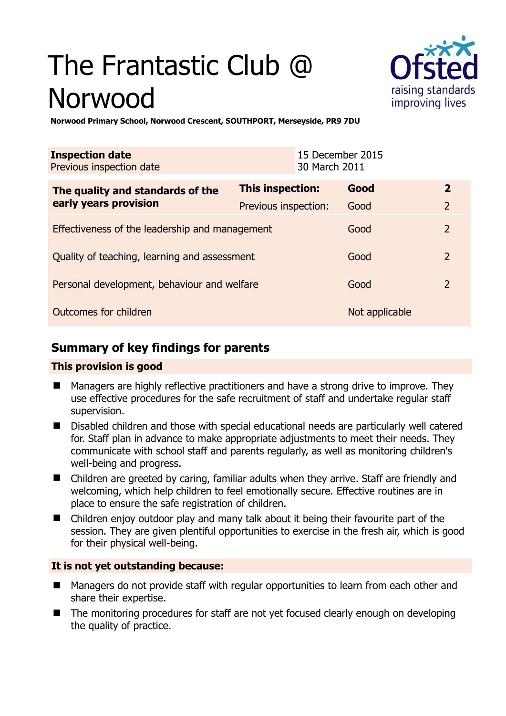# The Frantastic Club @ Norwood



**Norwood Primary School, Norwood Crescent, SOUTHPORT, Merseyside, PR9 7DU** 

| <b>Inspection date</b><br>Previous inspection date        | 30 March 2011           | 15 December 2015 |                |
|-----------------------------------------------------------|-------------------------|------------------|----------------|
| The quality and standards of the<br>early years provision | <b>This inspection:</b> | Good             | $\overline{2}$ |
|                                                           | Previous inspection:    | Good             | $\overline{2}$ |
| Effectiveness of the leadership and management            |                         | Good             | $\overline{2}$ |
| Quality of teaching, learning and assessment              |                         | Good             | $\overline{2}$ |
| Personal development, behaviour and welfare               |                         | Good             | $\overline{2}$ |
| Outcomes for children                                     |                         | Not applicable   |                |

# **Summary of key findings for parents**

## **This provision is good**

- Managers are highly reflective practitioners and have a strong drive to improve. They use effective procedures for the safe recruitment of staff and undertake regular staff supervision.
- Disabled children and those with special educational needs are particularly well catered for. Staff plan in advance to make appropriate adjustments to meet their needs. They communicate with school staff and parents regularly, as well as monitoring children's well-being and progress.
- Children are greeted by caring, familiar adults when they arrive. Staff are friendly and welcoming, which help children to feel emotionally secure. Effective routines are in place to ensure the safe registration of children.
- Children enjoy outdoor play and many talk about it being their favourite part of the session. They are given plentiful opportunities to exercise in the fresh air, which is good for their physical well-being.

## **It is not yet outstanding because:**

- Managers do not provide staff with regular opportunities to learn from each other and share their expertise.
- The monitoring procedures for staff are not yet focused clearly enough on developing the quality of practice.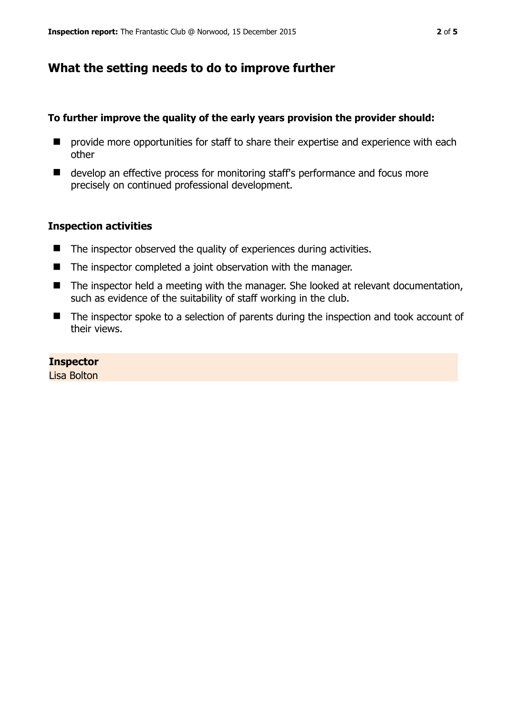# **What the setting needs to do to improve further**

#### **To further improve the quality of the early years provision the provider should:**

- **P** provide more opportunities for staff to share their expertise and experience with each other
- develop an effective process for monitoring staff's performance and focus more precisely on continued professional development.

#### **Inspection activities**

- $\blacksquare$  The inspector observed the quality of experiences during activities.
- The inspector completed a joint observation with the manager.
- The inspector held a meeting with the manager. She looked at relevant documentation, such as evidence of the suitability of staff working in the club.
- The inspector spoke to a selection of parents during the inspection and took account of their views.

#### **Inspector**

Lisa Bolton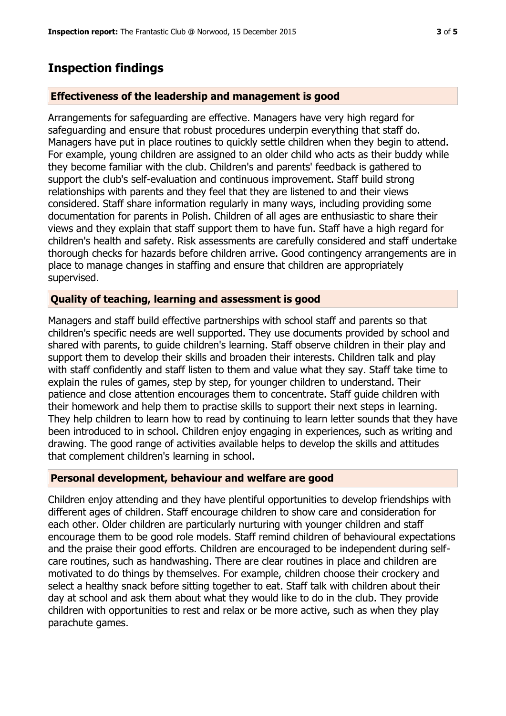# **Inspection findings**

## **Effectiveness of the leadership and management is good**

Arrangements for safeguarding are effective. Managers have very high regard for safeguarding and ensure that robust procedures underpin everything that staff do. Managers have put in place routines to quickly settle children when they begin to attend. For example, young children are assigned to an older child who acts as their buddy while they become familiar with the club. Children's and parents' feedback is gathered to support the club's self-evaluation and continuous improvement. Staff build strong relationships with parents and they feel that they are listened to and their views considered. Staff share information regularly in many ways, including providing some documentation for parents in Polish. Children of all ages are enthusiastic to share their views and they explain that staff support them to have fun. Staff have a high regard for children's health and safety. Risk assessments are carefully considered and staff undertake thorough checks for hazards before children arrive. Good contingency arrangements are in place to manage changes in staffing and ensure that children are appropriately supervised.

## **Quality of teaching, learning and assessment is good**

Managers and staff build effective partnerships with school staff and parents so that children's specific needs are well supported. They use documents provided by school and shared with parents, to guide children's learning. Staff observe children in their play and support them to develop their skills and broaden their interests. Children talk and play with staff confidently and staff listen to them and value what they say. Staff take time to explain the rules of games, step by step, for younger children to understand. Their patience and close attention encourages them to concentrate. Staff guide children with their homework and help them to practise skills to support their next steps in learning. They help children to learn how to read by continuing to learn letter sounds that they have been introduced to in school. Children enjoy engaging in experiences, such as writing and drawing. The good range of activities available helps to develop the skills and attitudes that complement children's learning in school.

## **Personal development, behaviour and welfare are good**

Children enjoy attending and they have plentiful opportunities to develop friendships with different ages of children. Staff encourage children to show care and consideration for each other. Older children are particularly nurturing with younger children and staff encourage them to be good role models. Staff remind children of behavioural expectations and the praise their good efforts. Children are encouraged to be independent during selfcare routines, such as handwashing. There are clear routines in place and children are motivated to do things by themselves. For example, children choose their crockery and select a healthy snack before sitting together to eat. Staff talk with children about their day at school and ask them about what they would like to do in the club. They provide children with opportunities to rest and relax or be more active, such as when they play parachute games.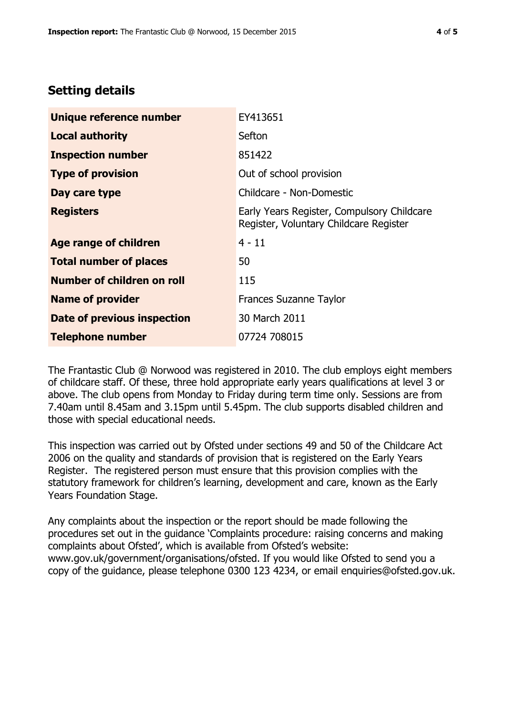# **Setting details**

| Unique reference number       | EY413651                                                                             |  |
|-------------------------------|--------------------------------------------------------------------------------------|--|
| <b>Local authority</b>        | Sefton                                                                               |  |
| <b>Inspection number</b>      | 851422                                                                               |  |
| <b>Type of provision</b>      | Out of school provision                                                              |  |
| Day care type                 | Childcare - Non-Domestic                                                             |  |
| <b>Registers</b>              | Early Years Register, Compulsory Childcare<br>Register, Voluntary Childcare Register |  |
| Age range of children         | $4 - 11$                                                                             |  |
| <b>Total number of places</b> | 50                                                                                   |  |
| Number of children on roll    | 115                                                                                  |  |
| <b>Name of provider</b>       | <b>Frances Suzanne Taylor</b>                                                        |  |
| Date of previous inspection   | 30 March 2011                                                                        |  |
| <b>Telephone number</b>       | 07724 708015                                                                         |  |

The Frantastic Club @ Norwood was registered in 2010. The club employs eight members of childcare staff. Of these, three hold appropriate early years qualifications at level 3 or above. The club opens from Monday to Friday during term time only. Sessions are from 7.40am until 8.45am and 3.15pm until 5.45pm. The club supports disabled children and those with special educational needs.

This inspection was carried out by Ofsted under sections 49 and 50 of the Childcare Act 2006 on the quality and standards of provision that is registered on the Early Years Register. The registered person must ensure that this provision complies with the statutory framework for children's learning, development and care, known as the Early Years Foundation Stage.

Any complaints about the inspection or the report should be made following the procedures set out in the guidance 'Complaints procedure: raising concerns and making complaints about Ofsted', which is available from Ofsted's website: www.gov.uk/government/organisations/ofsted. If you would like Ofsted to send you a copy of the guidance, please telephone 0300 123 4234, or email enquiries@ofsted.gov.uk.